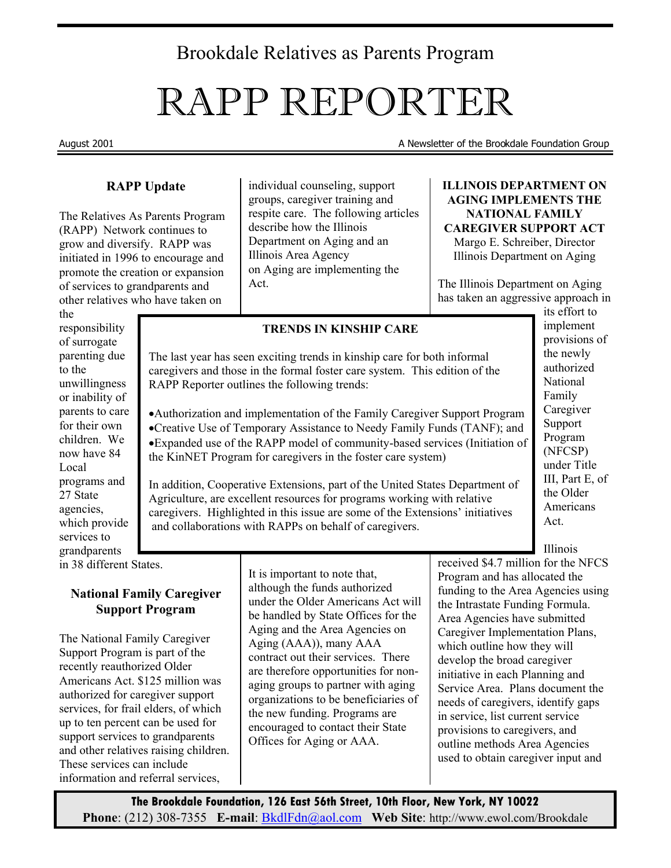# Brookdale Relatives as Parents Program

# RAPP REPORTER

August 2001 August 2001 A Newsletter of the Brookdale Foundation Group

#### **RAPP Update**

The Relatives As Parents Program (RAPP) Network continues to grow and diversify. RAPP was initiated in 1996 to encourage and promote the creation or expansion of services to grandparents and other relatives who have taken on

the responsibility of surrogate parenting due to the unwillingness or inability of parents to care for their own children. We now have 84 Local programs and 27 State agencies, which provide services to grandparents in 38 different States.

> **National Family Caregiver Support Program**

The National Family Caregiver Support Program is part of the recently reauthorized Older Americans Act. \$125 million was authorized for caregiver support services, for frail elders, of which up to ten percent can be used for support services to grandparents and other relatives raising children. These services can include information and referral services,

individual counseling, support groups, caregiver training and respite care. The following articles describe how the Illinois Department on Aging and an Illinois Area Agency on Aging are implementing the Act.

**ILLINOIS DEPARTMENT ON AGING IMPLEMENTS THE NATIONAL FAMILY CAREGIVER SUPPORT ACT**  Margo E. Schreiber, Director Illinois Department on Aging

The Illinois Department on Aging has taken an aggressive approach in

#### **TRENDS IN KINSHIP CARE**

The last year has seen exciting trends in kinship care for both informal caregivers and those in the formal foster care system. This edition of the RAPP Reporter outlines the following trends:

•Authorization and implementation of the Family Caregiver Support Program

•Creative Use of Temporary Assistance to Needy Family Funds (TANF); and •Expanded use of the RAPP model of community-based services (Initiation of the KinNET Program for caregivers in the foster care system)

In addition, Cooperative Extensions, part of the United States Department of Agriculture, are excellent resources for programs working with relative caregivers. Highlighted in this issue are some of the Extensions' initiatives and collaborations with RAPPs on behalf of caregivers.

its effort to implement provisions of the newly authorized National Family Caregiver Support Program (NFCSP) under Title III, Part E, of the Older Americans Act.

Illinois

It is important to note that, although the funds authorized under the Older Americans Act will be handled by State Offices for the Aging and the Area Agencies on Aging (AAA)), many AAA contract out their services. There are therefore opportunities for nonaging groups to partner with aging organizations to be beneficiaries of the new funding. Programs are encouraged to contact their State Offices for Aging or AAA.

received \$4.7 million for the NFCS Program and has allocated the funding to the Area Agencies using the Intrastate Funding Formula. Area Agencies have submitted Caregiver Implementation Plans, which outline how they will develop the broad caregiver initiative in each Planning and Service Area. Plans document the needs of caregivers, identify gaps in service, list current service provisions to caregivers, and outline methods Area Agencies used to obtain caregiver input and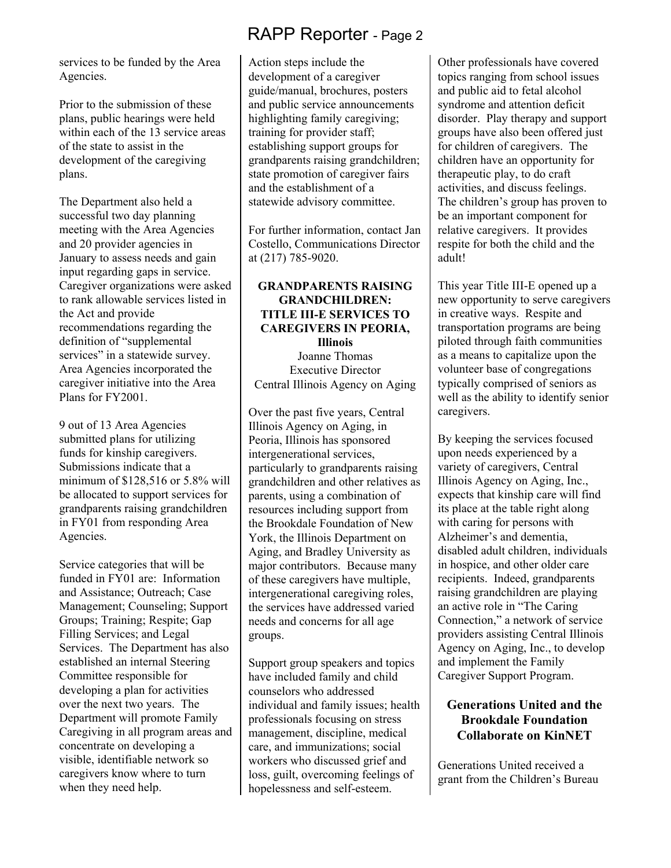services to be funded by the Area Agencies.

Prior to the submission of these plans, public hearings were held within each of the 13 service areas of the state to assist in the development of the caregiving plans.

The Department also held a successful two day planning meeting with the Area Agencies and 20 provider agencies in January to assess needs and gain input regarding gaps in service. Caregiver organizations were asked to rank allowable services listed in the Act and provide recommendations regarding the definition of "supplemental services" in a statewide survey. Area Agencies incorporated the caregiver initiative into the Area Plans for FY2001.

9 out of 13 Area Agencies submitted plans for utilizing funds for kinship caregivers. Submissions indicate that a minimum of \$128,516 or 5.8% will be allocated to support services for grandparents raising grandchildren in FY01 from responding Area Agencies.

Service categories that will be funded in FY01 are: Information and Assistance; Outreach; Case Management; Counseling; Support Groups; Training; Respite; Gap Filling Services; and Legal Services. The Department has also established an internal Steering Committee responsible for developing a plan for activities over the next two years. The Department will promote Family Caregiving in all program areas and concentrate on developing a visible, identifiable network so caregivers know where to turn when they need help.

Action steps include the development of a caregiver guide/manual, brochures, posters and public service announcements highlighting family caregiving; training for provider staff; establishing support groups for grandparents raising grandchildren; state promotion of caregiver fairs and the establishment of a statewide advisory committee.

For further information, contact Jan Costello, Communications Director at (217) 785-9020.

## **GRANDPARENTS RAISING GRANDCHILDREN: TITLE III-E SERVICES TO CAREGIVERS IN PEORIA,**

**Illinois**  Joanne Thomas Executive Director Central Illinois Agency on Aging

Over the past five years, Central Illinois Agency on Aging, in Peoria, Illinois has sponsored intergenerational services, particularly to grandparents raising grandchildren and other relatives as parents, using a combination of resources including support from the Brookdale Foundation of New York, the Illinois Department on Aging, and Bradley University as major contributors. Because many of these caregivers have multiple, intergenerational caregiving roles, the services have addressed varied needs and concerns for all age groups.

Support group speakers and topics have included family and child counselors who addressed individual and family issues; health professionals focusing on stress management, discipline, medical care, and immunizations; social workers who discussed grief and loss, guilt, overcoming feelings of hopelessness and self-esteem.

Other professionals have covered topics ranging from school issues and public aid to fetal alcohol syndrome and attention deficit disorder. Play therapy and support groups have also been offered just for children of caregivers. The children have an opportunity for therapeutic play, to do craft activities, and discuss feelings. The children's group has proven to be an important component for relative caregivers. It provides respite for both the child and the adult!

This year Title III-E opened up a new opportunity to serve caregivers in creative ways. Respite and transportation programs are being piloted through faith communities as a means to capitalize upon the volunteer base of congregations typically comprised of seniors as well as the ability to identify senior caregivers.

By keeping the services focused upon needs experienced by a variety of caregivers, Central Illinois Agency on Aging, Inc., expects that kinship care will find its place at the table right along with caring for persons with Alzheimer's and dementia, disabled adult children, individuals in hospice, and other older care recipients. Indeed, grandparents raising grandchildren are playing an active role in "The Caring Connection," a network of service providers assisting Central Illinois Agency on Aging, Inc., to develop and implement the Family Caregiver Support Program.

# **Generations United and the Brookdale Foundation Collaborate on KinNET**

Generations United received a grant from the Children's Bureau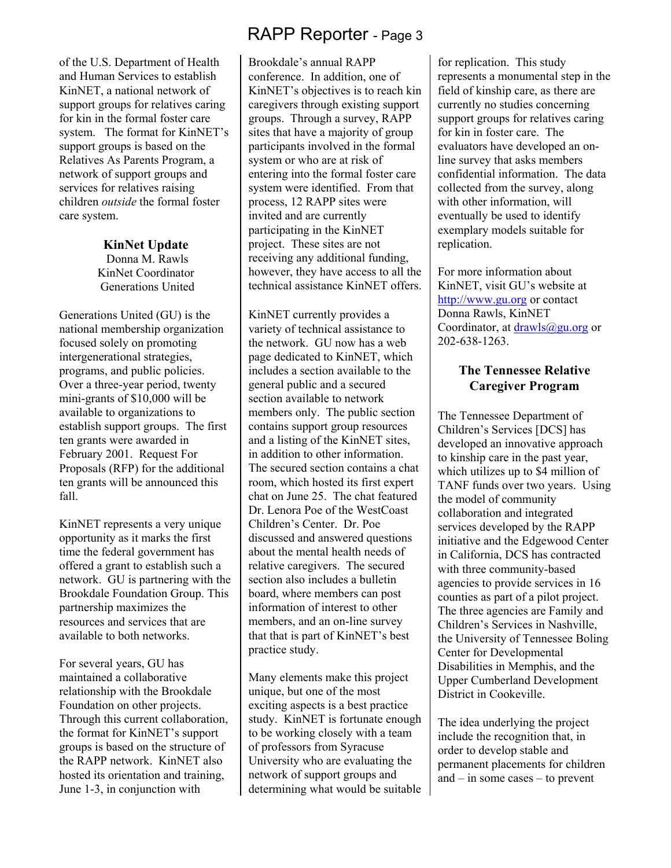of the U.S. Department of Health and Human Services to establish KinNET, a national network of support groups for relatives caring for kin in the formal foster care system. The format for KinNET's support groups is based on the Relatives As Parents Program, a network of support groups and services for relatives raising children *outside* the formal foster care system.

#### **KinNet Update**

 Donna M. Rawls KinNet Coordinator Generations United

Generations United (GU) is the national membership organization focused solely on promoting intergenerational strategies, programs, and public policies. Over a three-year period, twenty mini-grants of \$10,000 will be available to organizations to establish support groups. The first ten grants were awarded in February 2001. Request For Proposals (RFP) for the additional ten grants will be announced this fall.

KinNET represents a very unique opportunity as it marks the first time the federal government has offered a grant to establish such a network. GU is partnering with the Brookdale Foundation Group. This partnership maximizes the resources and services that are available to both networks.

For several years, GU has maintained a collaborative relationship with the Brookdale Foundation on other projects. Through this current collaboration, the format for KinNET's support groups is based on the structure of the RAPP network. KinNET also hosted its orientation and training, June 1-3, in conjunction with

# RAPP Reporter - Page 3

Brookdale's annual RAPP conference. In addition, one of KinNET's objectives is to reach kin caregivers through existing support groups. Through a survey, RAPP sites that have a majority of group participants involved in the formal system or who are at risk of entering into the formal foster care system were identified. From that process, 12 RAPP sites were invited and are currently participating in the KinNET project. These sites are not receiving any additional funding, however, they have access to all the technical assistance KinNET offers.

KinNET currently provides a variety of technical assistance to the network. GU now has a web page dedicated to KinNET, which includes a section available to the general public and a secured section available to network members only. The public section contains support group resources and a listing of the KinNET sites, in addition to other information. The secured section contains a chat room, which hosted its first expert chat on June 25. The chat featured Dr. Lenora Poe of the WestCoast Children's Center. Dr. Poe discussed and answered questions about the mental health needs of relative caregivers. The secured section also includes a bulletin board, where members can post information of interest to other members, and an on-line survey that that is part of KinNET's best practice study.

Many elements make this project unique, but one of the most exciting aspects is a best practice study. KinNET is fortunate enough to be working closely with a team of professors from Syracuse University who are evaluating the network of support groups and determining what would be suitable for replication. This study represents a monumental step in the field of kinship care, as there are currently no studies concerning support groups for relatives caring for kin in foster care. The evaluators have developed an online survey that asks members confidential information. The data collected from the survey, along with other information, will eventually be used to identify exemplary models suitable for replication.

For more information about KinNET, visit GU's website at http://www.gu.org or contact Donna Rawls, KinNET Coordinator, at  $drawls@gu.org$  or 202-638-1263.

## **The Tennessee Relative Caregiver Program**

The Tennessee Department of Children's Services [DCS] has developed an innovative approach to kinship care in the past year, which utilizes up to \$4 million of TANF funds over two years. Using the model of community collaboration and integrated services developed by the RAPP initiative and the Edgewood Center in California, DCS has contracted with three community-based agencies to provide services in 16 counties as part of a pilot project. The three agencies are Family and Children's Services in Nashville, the University of Tennessee Boling Center for Developmental Disabilities in Memphis, and the Upper Cumberland Development District in Cookeville.

The idea underlying the project include the recognition that, in order to develop stable and permanent placements for children and – in some cases – to prevent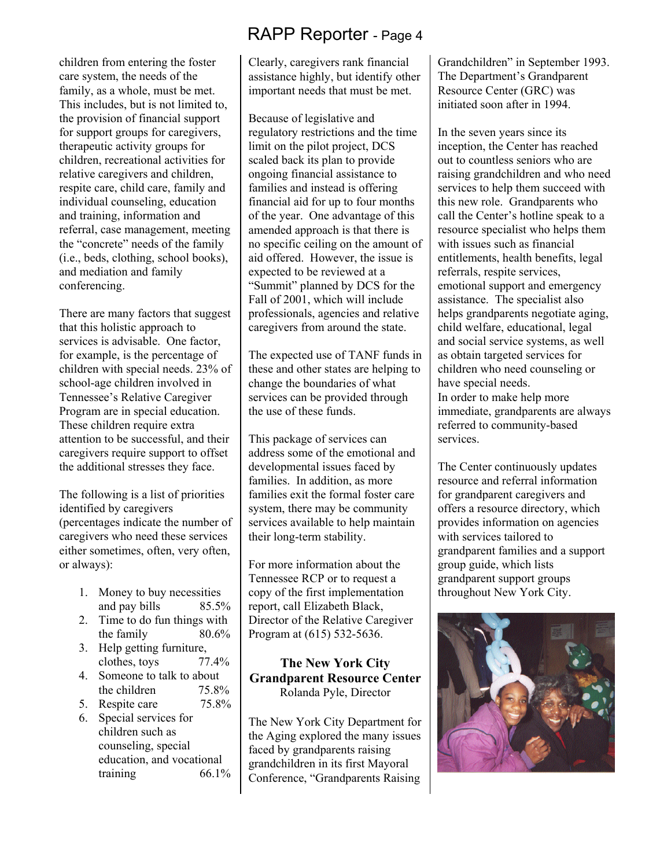children from entering the foster care system, the needs of the family, as a whole, must be met. This includes, but is not limited to, the provision of financial support for support groups for caregivers, therapeutic activity groups for children, recreational activities for relative caregivers and children, respite care, child care, family and individual counseling, education and training, information and referral, case management, meeting the "concrete" needs of the family (i.e., beds, clothing, school books), and mediation and family conferencing.

There are many factors that suggest that this holistic approach to services is advisable. One factor, for example, is the percentage of children with special needs. 23% of school-age children involved in Tennessee's Relative Caregiver Program are in special education. These children require extra attention to be successful, and their caregivers require support to offset the additional stresses they face.

The following is a list of priorities identified by caregivers (percentages indicate the number of caregivers who need these services either sometimes, often, very often, or always):

- 1. Money to buy necessities and pay bills 85.5%
- 2. Time to do fun things with the family 80.6%
- 3. Help getting furniture, clothes, toys 77.4%
- 4. Someone to talk to about the children 75.8%
- 5. Respite care 75.8%
- 6. Special services for children such as counseling, special education, and vocational training 66.1%

Clearly, caregivers rank financial assistance highly, but identify other important needs that must be met.

Because of legislative and regulatory restrictions and the time limit on the pilot project, DCS scaled back its plan to provide ongoing financial assistance to families and instead is offering financial aid for up to four months of the year. One advantage of this amended approach is that there is no specific ceiling on the amount of aid offered. However, the issue is expected to be reviewed at a "Summit" planned by DCS for the Fall of 2001, which will include professionals, agencies and relative caregivers from around the state.

The expected use of TANF funds in these and other states are helping to change the boundaries of what services can be provided through the use of these funds.

This package of services can address some of the emotional and developmental issues faced by families. In addition, as more families exit the formal foster care system, there may be community services available to help maintain their long-term stability.

For more information about the Tennessee RCP or to request a copy of the first implementation report, call Elizabeth Black, Director of the Relative Caregiver Program at (615) 532-5636.

# **The New York City Grandparent Resource Center**  Rolanda Pyle, Director

The New York City Department for the Aging explored the many issues faced by grandparents raising grandchildren in its first Mayoral Conference, "Grandparents Raising

Grandchildren" in September 1993. The Department's Grandparent Resource Center (GRC) was initiated soon after in 1994.

In the seven years since its inception, the Center has reached out to countless seniors who are raising grandchildren and who need services to help them succeed with this new role. Grandparents who call the Center's hotline speak to a resource specialist who helps them with issues such as financial entitlements, health benefits, legal referrals, respite services, emotional support and emergency assistance. The specialist also helps grandparents negotiate aging, child welfare, educational, legal and social service systems, as well as obtain targeted services for children who need counseling or have special needs. In order to make help more immediate, grandparents are always referred to community-based services.

The Center continuously updates resource and referral information for grandparent caregivers and offers a resource directory, which provides information on agencies with services tailored to grandparent families and a support group guide, which lists grandparent support groups throughout New York City.

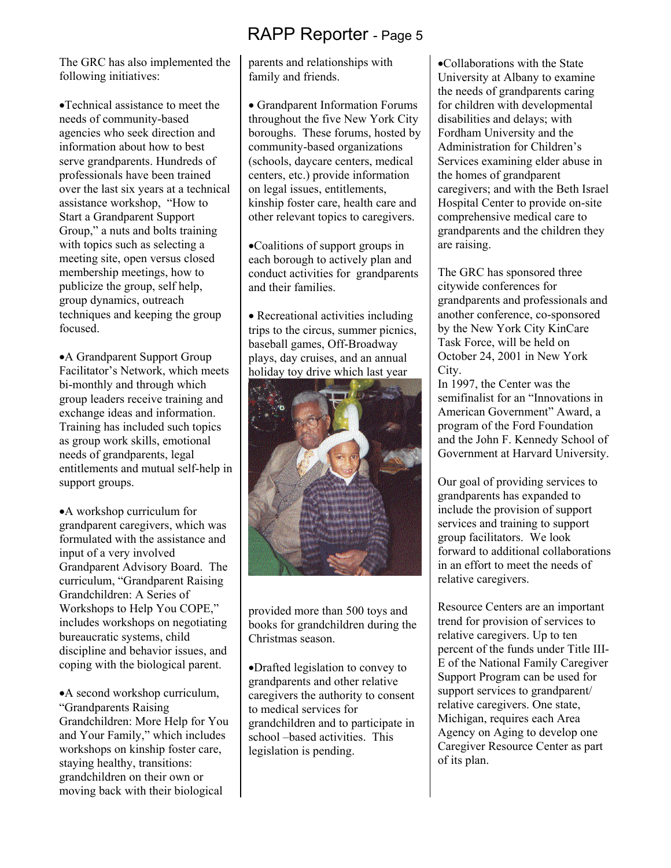The GRC has also implemented the following initiatives:

•Technical assistance to meet the needs of community-based agencies who seek direction and information about how to best serve grandparents. Hundreds of professionals have been trained over the last six years at a technical assistance workshop, "How to Start a Grandparent Support Group," a nuts and bolts training with topics such as selecting a meeting site, open versus closed membership meetings, how to publicize the group, self help, group dynamics, outreach techniques and keeping the group focused.

•A Grandparent Support Group Facilitator's Network, which meets bi-monthly and through which group leaders receive training and exchange ideas and information. Training has included such topics as group work skills, emotional needs of grandparents, legal entitlements and mutual self-help in support groups.

•A workshop curriculum for grandparent caregivers, which was formulated with the assistance and input of a very involved Grandparent Advisory Board. The curriculum, "Grandparent Raising Grandchildren: A Series of Workshops to Help You COPE," includes workshops on negotiating bureaucratic systems, child discipline and behavior issues, and coping with the biological parent.

•A second workshop curriculum, "Grandparents Raising Grandchildren: More Help for You and Your Family," which includes workshops on kinship foster care, staying healthy, transitions: grandchildren on their own or moving back with their biological

parents and relationships with family and friends.

• Grandparent Information Forums throughout the five New York City boroughs. These forums, hosted by community-based organizations (schools, daycare centers, medical centers, etc.) provide information on legal issues, entitlements, kinship foster care, health care and other relevant topics to caregivers.

•Coalitions of support groups in each borough to actively plan and conduct activities for grandparents and their families.

• Recreational activities including trips to the circus, summer picnics, baseball games, Off-Broadway plays, day cruises, and an annual holiday toy drive which last year



provided more than 500 toys and books for grandchildren during the Christmas season.

•Drafted legislation to convey to grandparents and other relative caregivers the authority to consent to medical services for grandchildren and to participate in school –based activities. This legislation is pending.

•Collaborations with the State University at Albany to examine the needs of grandparents caring for children with developmental disabilities and delays; with Fordham University and the Administration for Children's Services examining elder abuse in the homes of grandparent caregivers; and with the Beth Israel Hospital Center to provide on-site comprehensive medical care to grandparents and the children they are raising.

The GRC has sponsored three citywide conferences for grandparents and professionals and another conference, co-sponsored by the New York City KinCare Task Force, will be held on October 24, 2001 in New York City.

In 1997, the Center was the semifinalist for an "Innovations in American Government" Award, a program of the Ford Foundation and the John F. Kennedy School of Government at Harvard University.

Our goal of providing services to grandparents has expanded to include the provision of support services and training to support group facilitators. We look forward to additional collaborations in an effort to meet the needs of relative caregivers.

Resource Centers are an important trend for provision of services to relative caregivers. Up to ten percent of the funds under Title III-E of the National Family Caregiver Support Program can be used for support services to grandparent/ relative caregivers. One state, Michigan, requires each Area Agency on Aging to develop one Caregiver Resource Center as part of its plan.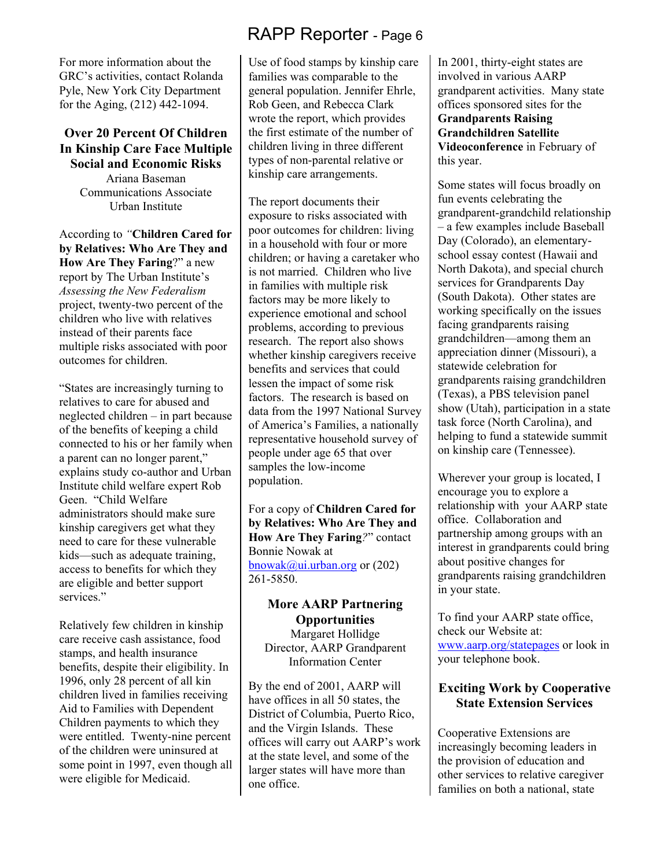For more information about the GRC's activities, contact Rolanda Pyle, New York City Department for the Aging, (212) 442-1094.

#### **Over 20 Percent Of Children In Kinship Care Face Multiple Social and Economic Risks**  Ariana Baseman Communications Associate Urban Institute

According to *"***Children Cared for by Relatives: Who Are They and How Are They Faring**?" a new report by The Urban Institute's *Assessing the New Federalism*  project, twenty-two percent of the children who live with relatives instead of their parents face multiple risks associated with poor outcomes for children.

"States are increasingly turning to relatives to care for abused and neglected children – in part because of the benefits of keeping a child connected to his or her family when a parent can no longer parent," explains study co-author and Urban Institute child welfare expert Rob Geen. "Child Welfare administrators should make sure kinship caregivers get what they need to care for these vulnerable kids—such as adequate training, access to benefits for which they are eligible and better support services."

Relatively few children in kinship care receive cash assistance, food stamps, and health insurance benefits, despite their eligibility. In 1996, only 28 percent of all kin children lived in families receiving Aid to Families with Dependent Children payments to which they were entitled. Twenty-nine percent of the children were uninsured at some point in 1997, even though all were eligible for Medicaid.

# RAPP Reporter - Page 6

Use of food stamps by kinship care families was comparable to the general population. Jennifer Ehrle, Rob Geen, and Rebecca Clark wrote the report, which provides the first estimate of the number of children living in three different types of non-parental relative or kinship care arrangements.

The report documents their exposure to risks associated with poor outcomes for children: living in a household with four or more children; or having a caretaker who is not married. Children who live in families with multiple risk factors may be more likely to experience emotional and school problems, according to previous research. The report also shows whether kinship caregivers receive benefits and services that could lessen the impact of some risk factors. The research is based on data from the 1997 National Survey of America's Families, a nationally representative household survey of people under age 65 that over samples the low-income population.

For a copy of **Children Cared for by Relatives: Who Are They and How Are They Faring***?*" contact Bonnie Nowak at bnowak@ui.urban.org or  $(202)$ 261-5850.

#### **More AARP Partnering Opportunities**  Margaret Hollidge

Director, AARP Grandparent Information Center

By the end of 2001, AARP will have offices in all 50 states, the District of Columbia, Puerto Rico, and the Virgin Islands. These offices will carry out AARP's work at the state level, and some of the larger states will have more than one office.

In 2001, thirty-eight states are involved in various AARP grandparent activities. Many state offices sponsored sites for the **Grandparents Raising Grandchildren Satellite Videoconference** in February of this year.

Some states will focus broadly on fun events celebrating the grandparent-grandchild relationship – a few examples include Baseball Day (Colorado), an elementaryschool essay contest (Hawaii and North Dakota), and special church services for Grandparents Day (South Dakota). Other states are working specifically on the issues facing grandparents raising grandchildren—among them an appreciation dinner (Missouri), a statewide celebration for grandparents raising grandchildren (Texas), a PBS television panel show (Utah), participation in a state task force (North Carolina), and helping to fund a statewide summit on kinship care (Tennessee).

Wherever your group is located, I encourage you to explore a relationship with your AARP state office. Collaboration and partnership among groups with an interest in grandparents could bring about positive changes for grandparents raising grandchildren in your state.

To find your AARP state office, check our Website at: www.aarp.org/statepages or look in your telephone book.

# **Exciting Work by Cooperative State Extension Services**

Cooperative Extensions are increasingly becoming leaders in the provision of education and other services to relative caregiver families on both a national, state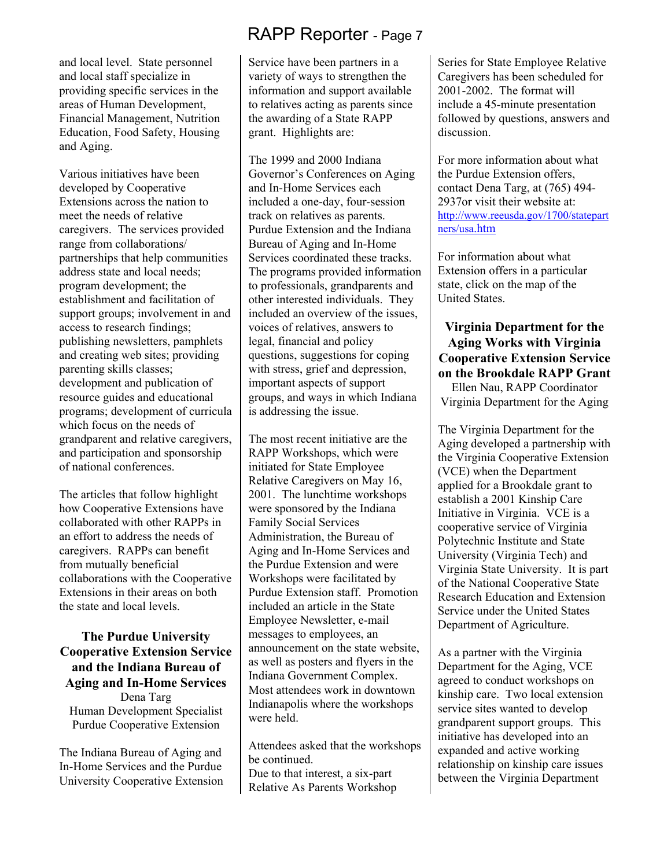and local level. State personnel and local staff specialize in providing specific services in the areas of Human Development, Financial Management, Nutrition Education, Food Safety, Housing and Aging.

Various initiatives have been developed by Cooperative Extensions across the nation to meet the needs of relative caregivers. The services provided range from collaborations/ partnerships that help communities address state and local needs; program development; the establishment and facilitation of support groups; involvement in and access to research findings; publishing newsletters, pamphlets and creating web sites; providing parenting skills classes; development and publication of resource guides and educational programs; development of curricula which focus on the needs of grandparent and relative caregivers, and participation and sponsorship of national conferences.

The articles that follow highlight how Cooperative Extensions have collaborated with other RAPPs in an effort to address the needs of caregivers. RAPPs can benefit from mutually beneficial collaborations with the Cooperative Extensions in their areas on both the state and local levels.

#### **The Purdue University Cooperative Extension Service and the Indiana Bureau of Aging and In-Home Services**  Dena Targ Human Development Specialist

Purdue Cooperative Extension

The Indiana Bureau of Aging and In-Home Services and the Purdue University Cooperative Extension

# RAPP Reporter - Page 7

Service have been partners in a variety of ways to strengthen the information and support available to relatives acting as parents since the awarding of a State RAPP grant. Highlights are:

The 1999 and 2000 Indiana Governor's Conferences on Aging and In-Home Services each included a one-day, four-session track on relatives as parents. Purdue Extension and the Indiana Bureau of Aging and In-Home Services coordinated these tracks. The programs provided information to professionals, grandparents and other interested individuals. They included an overview of the issues, voices of relatives, answers to legal, financial and policy questions, suggestions for coping with stress, grief and depression, important aspects of support groups, and ways in which Indiana is addressing the issue.

The most recent initiative are the RAPP Workshops, which were initiated for State Employee Relative Caregivers on May 16, 2001. The lunchtime workshops were sponsored by the Indiana Family Social Services Administration, the Bureau of Aging and In-Home Services and the Purdue Extension and were Workshops were facilitated by Purdue Extension staff. Promotion included an article in the State Employee Newsletter, e-mail messages to employees, an announcement on the state website, as well as posters and flyers in the Indiana Government Complex. Most attendees work in downtown Indianapolis where the workshops were held.

Attendees asked that the workshops be continued. Due to that interest, a six-part Relative As Parents Workshop

Series for State Employee Relative Caregivers has been scheduled for 2001-2002. The format will include a 45-minute presentation followed by questions, answers and discussion.

For more information about what the Purdue Extension offers, contact Dena Targ, at (765) 494- 2937or visit their website at: http://www.reeusda.gov/1700/statepart ners/usa.htm

For information about what Extension offers in a particular state, click on the map of the United States.

# **Virginia Department for the Aging Works with Virginia Cooperative Extension Service on the Brookdale RAPP Grant**

Ellen Nau, RAPP Coordinator Virginia Department for the Aging

The Virginia Department for the Aging developed a partnership with the Virginia Cooperative Extension (VCE) when the Department applied for a Brookdale grant to establish a 2001 Kinship Care Initiative in Virginia. VCE is a cooperative service of Virginia Polytechnic Institute and State University (Virginia Tech) and Virginia State University. It is part of the National Cooperative State Research Education and Extension Service under the United States Department of Agriculture.

As a partner with the Virginia Department for the Aging, VCE agreed to conduct workshops on kinship care. Two local extension service sites wanted to develop grandparent support groups. This initiative has developed into an expanded and active working relationship on kinship care issues between the Virginia Department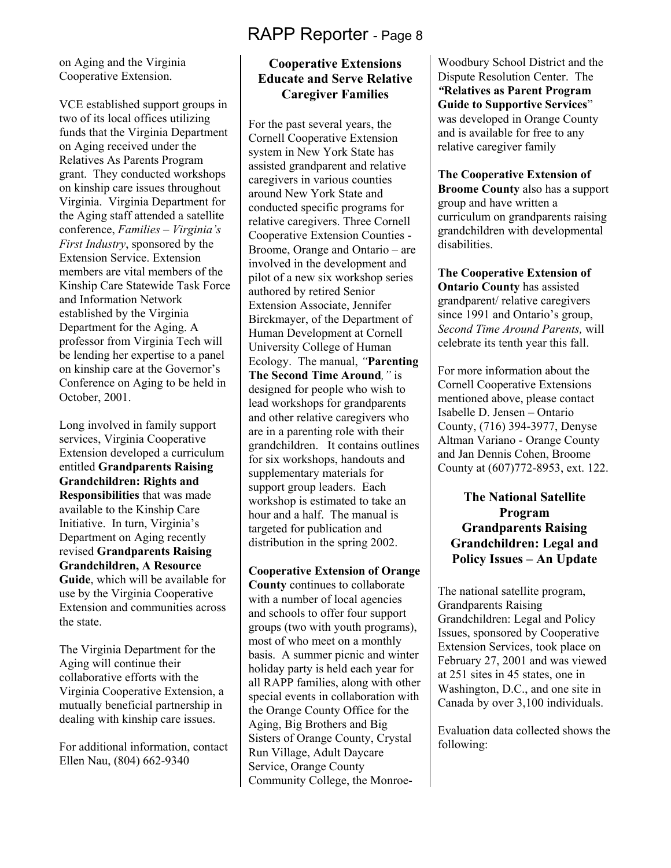on Aging and the Virginia Cooperative Extension.

VCE established support groups in two of its local offices utilizing funds that the Virginia Department on Aging received under the Relatives As Parents Program grant. They conducted workshops on kinship care issues throughout Virginia. Virginia Department for the Aging staff attended a satellite conference, *Families – Virginia's First Industry*, sponsored by the Extension Service. Extension members are vital members of the Kinship Care Statewide Task Force and Information Network established by the Virginia Department for the Aging. A professor from Virginia Tech will be lending her expertise to a panel on kinship care at the Governor's Conference on Aging to be held in October, 2001.

Long involved in family support services, Virginia Cooperative Extension developed a curriculum entitled **Grandparents Raising Grandchildren: Rights and Responsibilities** that was made available to the Kinship Care Initiative. In turn, Virginia's Department on Aging recently revised **Grandparents Raising Grandchildren, A Resource Guide**, which will be available for use by the Virginia Cooperative Extension and communities across the state.

The Virginia Department for the Aging will continue their collaborative efforts with the Virginia Cooperative Extension, a mutually beneficial partnership in dealing with kinship care issues.

For additional information, contact Ellen Nau, (804) 662-9340

## **Cooperative Extensions Educate and Serve Relative Caregiver Families**

For the past several years, the Cornell Cooperative Extension system in New York State has assisted grandparent and relative caregivers in various counties around New York State and conducted specific programs for relative caregivers. Three Cornell Cooperative Extension Counties - Broome, Orange and Ontario – are involved in the development and pilot of a new six workshop series authored by retired Senior Extension Associate, Jennifer Birckmayer, of the Department of Human Development at Cornell University College of Human Ecology. The manual, *"***Parenting The Second Time Around***,"* is designed for people who wish to lead workshops for grandparents and other relative caregivers who are in a parenting role with their grandchildren. It contains outlines for six workshops, handouts and supplementary materials for support group leaders. Each workshop is estimated to take an hour and a half. The manual is targeted for publication and distribution in the spring 2002.

# **Cooperative Extension of Orange**

**County** continues to collaborate with a number of local agencies and schools to offer four support groups (two with youth programs), most of who meet on a monthly basis. A summer picnic and winter holiday party is held each year for all RAPP families, along with other special events in collaboration with the Orange County Office for the Aging, Big Brothers and Big Sisters of Orange County, Crystal Run Village, Adult Daycare Service, Orange County Community College, the MonroeWoodbury School District and the Dispute Resolution Center. The *"***Relatives as Parent Program Guide to Supportive Services**" was developed in Orange County and is available for free to any relative caregiver family

**The Cooperative Extension of Broome County** also has a support group and have written a curriculum on grandparents raising grandchildren with developmental disabilities.

**The Cooperative Extension of Ontario County** has assisted grandparent/ relative caregivers since 1991 and Ontario's group, *Second Time Around Parents,* will celebrate its tenth year this fall.

For more information about the Cornell Cooperative Extensions mentioned above, please contact Isabelle D. Jensen – Ontario County, (716) 394-3977, Denyse Altman Variano - Orange County and Jan Dennis Cohen, Broome County at (607)772-8953, ext. 122.

**The National Satellite Program Grandparents Raising Grandchildren: Legal and Policy Issues – An Update** 

The national satellite program, Grandparents Raising Grandchildren: Legal and Policy Issues, sponsored by Cooperative Extension Services, took place on February 27, 2001 and was viewed at 251 sites in 45 states, one in Washington, D.C., and one site in Canada by over 3,100 individuals.

Evaluation data collected shows the following: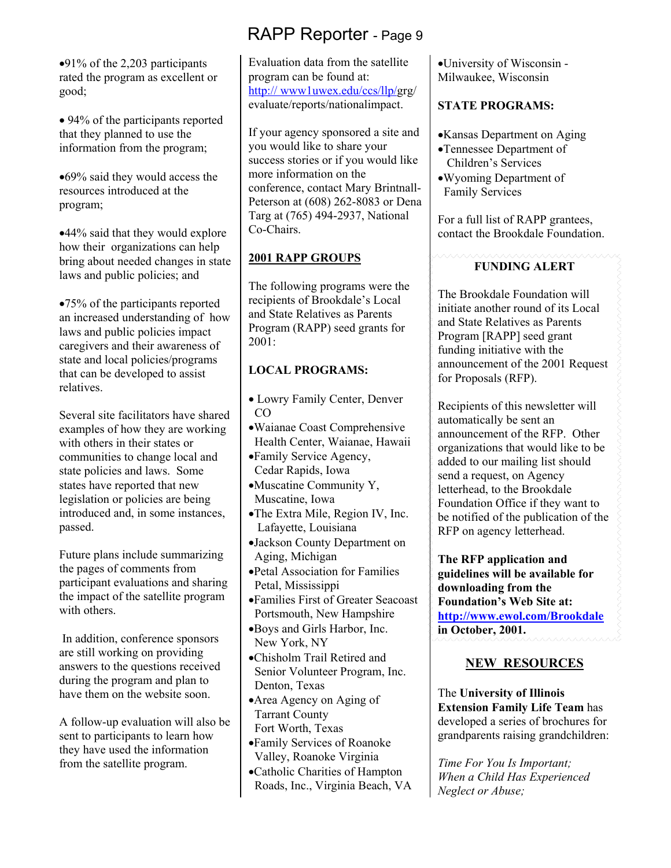•91% of the 2,203 participants rated the program as excellent or good;

• 94% of the participants reported that they planned to use the information from the program;

•69% said they would access the resources introduced at the program;

•44% said that they would explore how their organizations can help bring about needed changes in state laws and public policies; and

•75% of the participants reported an increased understanding of how laws and public policies impact caregivers and their awareness of state and local policies/programs that can be developed to assist relatives.

Several site facilitators have shared examples of how they are working with others in their states or communities to change local and state policies and laws. Some states have reported that new legislation or policies are being introduced and, in some instances, passed.

Future plans include summarizing the pages of comments from participant evaluations and sharing the impact of the satellite program with others.

 In addition, conference sponsors are still working on providing answers to the questions received during the program and plan to have them on the website soon.

A follow-up evaluation will also be sent to participants to learn how they have used the information from the satellite program.

Evaluation data from the satellite program can be found at: http:// www1uwex.edu/ccs/llp/grg/ evaluate/reports/nationalimpact.

If your agency sponsored a site and you would like to share your success stories or if you would like more information on the conference, contact Mary Brintnall-Peterson at (608) 262-8083 or Dena Targ at (765) 494-2937, National Co-Chairs.

## **2001 RAPP GROUPS**

The following programs were the recipients of Brookdale's Local and State Relatives as Parents Program (RAPP) seed grants for  $2001 -$ 

# **LOCAL PROGRAMS:**

- Lowry Family Center, Denver CO
- •Waianae Coast Comprehensive Health Center, Waianae, Hawaii
- •Family Service Agency, Cedar Rapids, Iowa
- •Muscatine Community Y, Muscatine, Iowa
- •The Extra Mile, Region IV, Inc. Lafayette, Louisiana
- •Jackson County Department on Aging, Michigan
- •Petal Association for Families Petal, Mississippi
- •Families First of Greater Seacoast Portsmouth, New Hampshire
- •Boys and Girls Harbor, Inc. New York, NY
- •Chisholm Trail Retired and Senior Volunteer Program, Inc. Denton, Texas
- •Area Agency on Aging of Tarrant County Fort Worth, Texas
- •Family Services of Roanoke Valley, Roanoke Virginia
- •Catholic Charities of Hampton Roads, Inc., Virginia Beach, VA

•University of Wisconsin - Milwaukee, Wisconsin

## **STATE PROGRAMS:**

•Kansas Department on Aging

- •Tennessee Department of Children's Services
- •Wyoming Department of Family Services

For a full list of RAPP grantees, contact the Brookdale Foundation.

### **FUNDING ALERT**

The Brookdale Foundation will initiate another round of its Local and State Relatives as Parents Program [RAPP] seed grant funding initiative with the announcement of the 2001 Request for Proposals (RFP).

Recipients of this newsletter will automatically be sent an announcement of the RFP. Other organizations that would like to be added to our mailing list should send a request, on Agency letterhead, to the Brookdale Foundation Office if they want to be notified of the publication of the RFP on agency letterhead.

**The RFP application and guidelines will be available for downloading from the Foundation's Web Site at: http://www.ewol.com/Brookdale in October, 2001.** 

# **NEW RESOURCES**

The **University of Illinois Extension Family Life Team** has developed a series of brochures for grandparents raising grandchildren:

*Time For You Is Important; When a Child Has Experienced Neglect or Abuse;*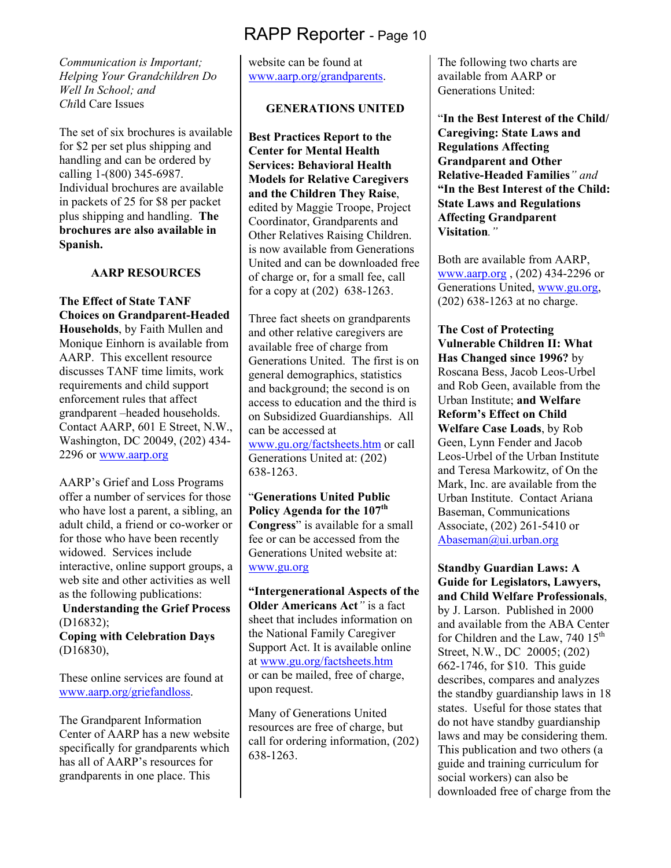*Communication is Important; Helping Your Grandchildren Do Well In School; and Chi*ld Care Issues

The set of six brochures is available for \$2 per set plus shipping and handling and can be ordered by calling 1-(800) 345-6987. Individual brochures are available in packets of 25 for \$8 per packet plus shipping and handling. **The brochures are also available in Spanish.** 

#### **AARP RESOURCES**

**The Effect of State TANF Choices on Grandparent-Headed Households**, by Faith Mullen and Monique Einhorn is available from AARP. This excellent resource discusses TANF time limits, work requirements and child support enforcement rules that affect grandparent –headed households. Contact AARP, 601 E Street, N.W., Washington, DC 20049, (202) 434- 2296 or www.aarp.org

AARP's Grief and Loss Programs offer a number of services for those who have lost a parent, a sibling, an adult child, a friend or co-worker or for those who have been recently widowed. Services include interactive, online support groups, a web site and other activities as well as the following publications:  **Understanding the Grief Process** 

(D16832); **Coping with Celebration Days** 

(D16830),

These online services are found at www.aarp.org/griefandloss.

The Grandparent Information Center of AARP has a new website specifically for grandparents which has all of AARP's resources for grandparents in one place. This

website can be found at www.aarp.org/grandparents.

## **GENERATIONS UNITED**

**Best Practices Report to the Center for Mental Health Services: Behavioral Health Models for Relative Caregivers and the Children They Raise**, edited by Maggie Troope, Project Coordinator, Grandparents and Other Relatives Raising Children. is now available from Generations United and can be downloaded free of charge or, for a small fee, call for a copy at (202) 638-1263.

Three fact sheets on grandparents and other relative caregivers are available free of charge from Generations United. The first is on general demographics, statistics and background; the second is on access to education and the third is on Subsidized Guardianships. All can be accessed at

www.gu.org/factsheets.htm or call Generations United at: (202) 638-1263.

"**Generations United Public Policy Agenda for the 107th Congress**" is available for a small fee or can be accessed from the Generations United website at: www.gu.org

**"Intergenerational Aspects of the Older Americans Act***"* is a fact sheet that includes information on the National Family Caregiver Support Act. It is available online at www.gu.org/factsheets.htm or can be mailed, free of charge, upon request.

Many of Generations United resources are free of charge, but call for ordering information, (202) 638-1263.

The following two charts are available from AARP or Generations United:

"**In the Best Interest of the Child/ Caregiving: State Laws and Regulations Affecting Grandparent and Other Relative-Headed Families***" and*  **"In the Best Interest of the Child: State Laws and Regulations Affecting Grandparent Visitation***."* 

Both are available from AARP, www.aarp.org , (202) 434-2296 or Generations United, www.gu.org, (202) 638-1263 at no charge.

**The Cost of Protecting Vulnerable Children II: What Has Changed since 1996?** by Roscana Bess, Jacob Leos-Urbel and Rob Geen, available from the Urban Institute; **and Welfare Reform's Effect on Child Welfare Case Loads**, by Rob Geen, Lynn Fender and Jacob Leos-Urbel of the Urban Institute and Teresa Markowitz, of On the Mark, Inc. are available from the Urban Institute. Contact Ariana Baseman, Communications Associate, (202) 261-5410 or Abaseman@ui.urban.org

**Standby Guardian Laws: A Guide for Legislators, Lawyers, and Child Welfare Professionals**, by J. Larson. Published in 2000 and available from the ABA Center for Children and the Law,  $740 \, 15^{th}$ Street, N.W., DC 20005; (202) 662-1746, for \$10. This guide describes, compares and analyzes the standby guardianship laws in 18 states. Useful for those states that do not have standby guardianship laws and may be considering them. This publication and two others (a guide and training curriculum for social workers) can also be downloaded free of charge from the